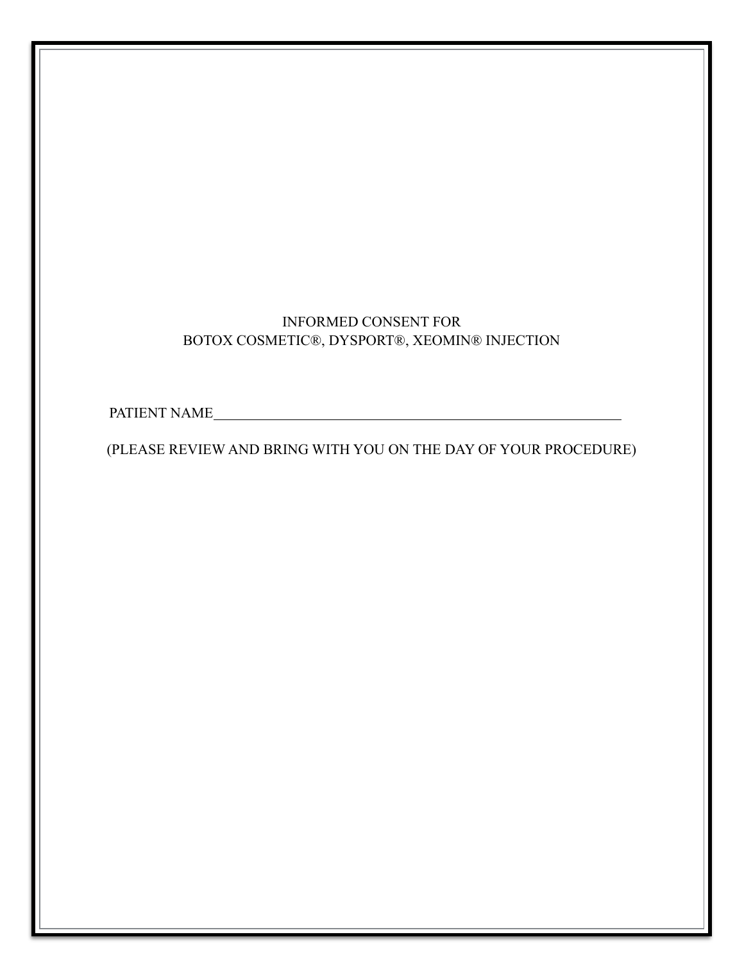# INFORMED CONSENT FOR BOTOX COSMETIC®, DYSPORT®, XEOMIN® INJECTION

PATIENT NAME

(PLEASE REVIEW AND BRING WITH YOU ON THE DAY OF YOUR PROCEDURE)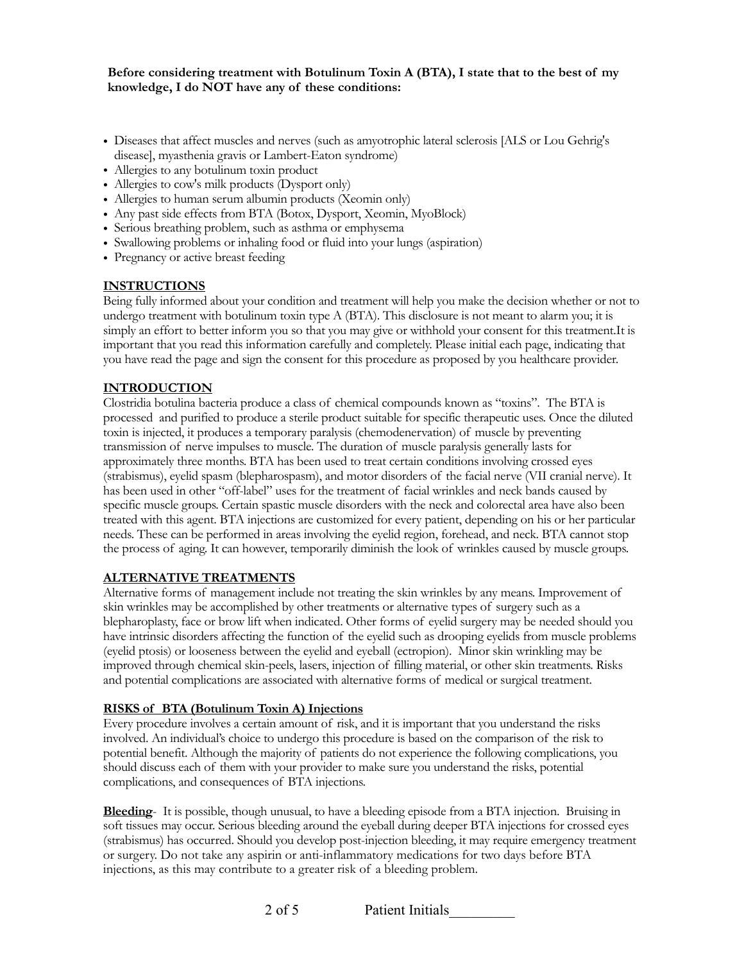#### **Before considering treatment with Botulinum Toxin A (BTA), I state that to the best of my knowledge, I do NOT have any of these conditions:**

- Diseases that affect muscles and nerves (such as amyotrophic lateral sclerosis [ALS or Lou Gehrig's disease], myasthenia gravis or Lambert-Eaton syndrome)
- Allergies to any botulinum toxin product
- Allergies to cow's milk products (Dysport only)
- Allergies to human serum albumin products (Xeomin only)
- Any past side effects from BTA (Botox, Dysport, Xeomin, MyoBlock)
- Serious breathing problem, such as asthma or emphysema
- Swallowing problems or inhaling food or fluid into your lungs (aspiration)
- Pregnancy or active breast feeding

#### **INSTRUCTIONS**

Being fully informed about your condition and treatment will help you make the decision whether or not to undergo treatment with botulinum toxin type A (BTA). This disclosure is not meant to alarm you; it is simply an effort to better inform you so that you may give or withhold your consent for this treatment.It is important that you read this information carefully and completely. Please initial each page, indicating that you have read the page and sign the consent for this procedure as proposed by you healthcare provider.

### **INTRODUCTION**

Clostridia botulina bacteria produce a class of chemical compounds known as "toxins". The BTA is processed and purified to produce a sterile product suitable for specific therapeutic uses. Once the diluted toxin is injected, it produces a temporary paralysis (chemodenervation) of muscle by preventing transmission of nerve impulses to muscle. The duration of muscle paralysis generally lasts for approximately three months. BTA has been used to treat certain conditions involving crossed eyes (strabismus), eyelid spasm (blepharospasm), and motor disorders of the facial nerve (VII cranial nerve). It has been used in other "off-label" uses for the treatment of facial wrinkles and neck bands caused by specific muscle groups. Certain spastic muscle disorders with the neck and colorectal area have also been treated with this agent. BTA injections are customized for every patient, depending on his or her particular needs. These can be performed in areas involving the eyelid region, forehead, and neck. BTA cannot stop the process of aging. It can however, temporarily diminish the look of wrinkles caused by muscle groups.

#### **ALTERNATIVE TREATMENTS**

Alternative forms of management include not treating the skin wrinkles by any means. Improvement of skin wrinkles may be accomplished by other treatments or alternative types of surgery such as a blepharoplasty, face or brow lift when indicated. Other forms of eyelid surgery may be needed should you have intrinsic disorders affecting the function of the eyelid such as drooping eyelids from muscle problems (eyelid ptosis) or looseness between the eyelid and eyeball (ectropion). Minor skin wrinkling may be improved through chemical skin-peels, lasers, injection of filling material, or other skin treatments. Risks and potential complications are associated with alternative forms of medical or surgical treatment.

#### **RISKS of BTA (Botulinum Toxin A) Injections**

Every procedure involves a certain amount of risk, and it is important that you understand the risks involved. An individual's choice to undergo this procedure is based on the comparison of the risk to potential benefit. Although the majority of patients do not experience the following complications, you should discuss each of them with your provider to make sure you understand the risks, potential complications, and consequences of BTA injections.

**Bleeding**- It is possible, though unusual, to have a bleeding episode from a BTA injection. Bruising in soft tissues may occur. Serious bleeding around the eyeball during deeper BTA injections for crossed eyes (strabismus) has occurred. Should you develop post-injection bleeding, it may require emergency treatment or surgery. Do not take any aspirin or anti-inflammatory medications for two days before BTA injections, as this may contribute to a greater risk of a bleeding problem.

2 of 5 Patient Initials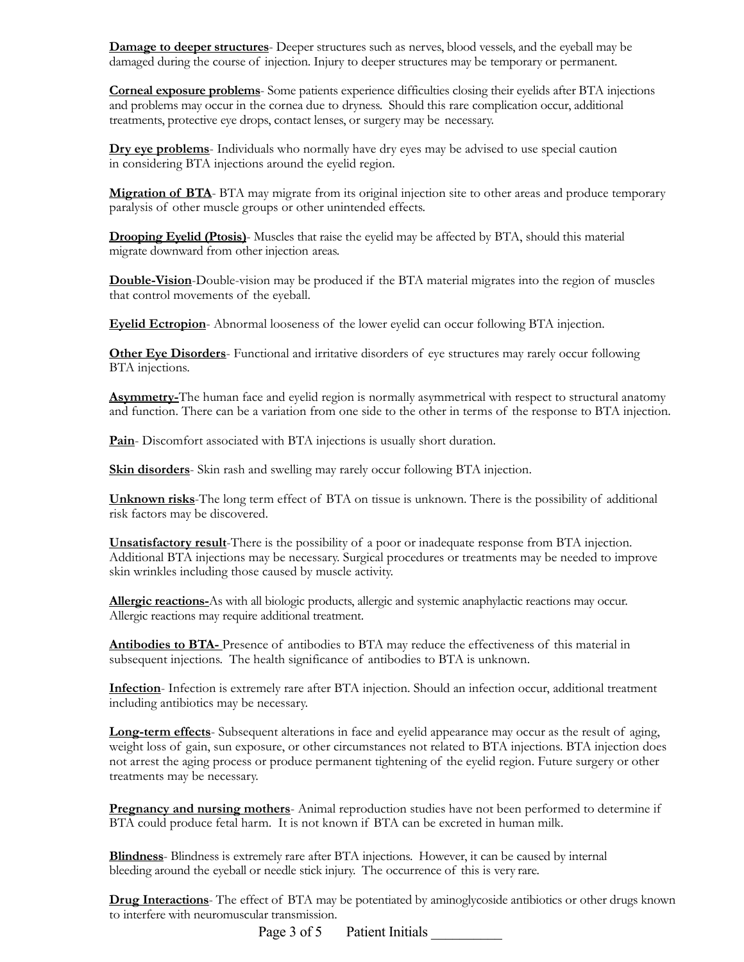**Damage to deeper structures**- Deeper structures such as nerves, blood vessels, and the eyeball may be damaged during the course of injection. Injury to deeper structures may be temporary or permanent.

**Corneal exposure problems**- Some patients experience difficulties closing their eyelids after BTA injections and problems may occur in the cornea due to dryness. Should this rare complication occur, additional treatments, protective eye drops, contact lenses, or surgery may be necessary.

**Dry eye problems**- Individuals who normally have dry eyes may be advised to use special caution in considering BTA injections around the eyelid region.

**Migration of BTA**- BTA may migrate from its original injection site to other areas and produce temporary paralysis of other muscle groups or other unintended effects.

**Drooping Eyelid (Ptosis)**- Muscles that raise the eyelid may be affected by BTA, should this material migrate downward from other injection areas.

**Double-Vision**-Double-vision may be produced if the BTA material migrates into the region of muscles that control movements of the eyeball.

**Eyelid Ectropion**- Abnormal looseness of the lower eyelid can occur following BTA injection.

**Other Eye Disorders**- Functional and irritative disorders of eye structures may rarely occur following BTA injections.

**Asymmetry-**The human face and eyelid region is normally asymmetrical with respect to structural anatomy and function. There can be a variation from one side to the other in terms of the response to BTA injection.

**Pain**- Discomfort associated with BTA injections is usually short duration.

**Skin disorders**- Skin rash and swelling may rarely occur following BTA injection.

**Unknown risks**-The long term effect of BTA on tissue is unknown. There is the possibility of additional risk factors may be discovered.

**Unsatisfactory result**-There is the possibility of a poor or inadequate response from BTA injection. Additional BTA injections may be necessary. Surgical procedures or treatments may be needed to improve skin wrinkles including those caused by muscle activity.

**Allergic reactions-**As with all biologic products, allergic and systemic anaphylactic reactions may occur. Allergic reactions may require additional treatment.

**Antibodies to BTA-** Presence of antibodies to BTA may reduce the effectiveness of this material in subsequent injections. The health significance of antibodies to BTA is unknown.

**Infection**- Infection is extremely rare after BTA injection. Should an infection occur, additional treatment including antibiotics may be necessary.

**Long-term effects**- Subsequent alterations in face and eyelid appearance may occur as the result of aging, weight loss of gain, sun exposure, or other circumstances not related to BTA injections. BTA injection does not arrest the aging process or produce permanent tightening of the eyelid region. Future surgery or other treatments may be necessary.

**Pregnancy and nursing mothers**- Animal reproduction studies have not been performed to determine if BTA could produce fetal harm. It is not known if BTA can be excreted in human milk.

**Blindness**- Blindness is extremely rare after BTA injections. However, it can be caused by internal bleeding around the eyeball or needle stick injury. The occurrence of this is very rare.

**Drug Interactions**- The effect of BTA may be potentiated by aminoglycoside antibiotics or other drugs known to interfere with neuromuscular transmission.

Page 3 of 5 Patient Initials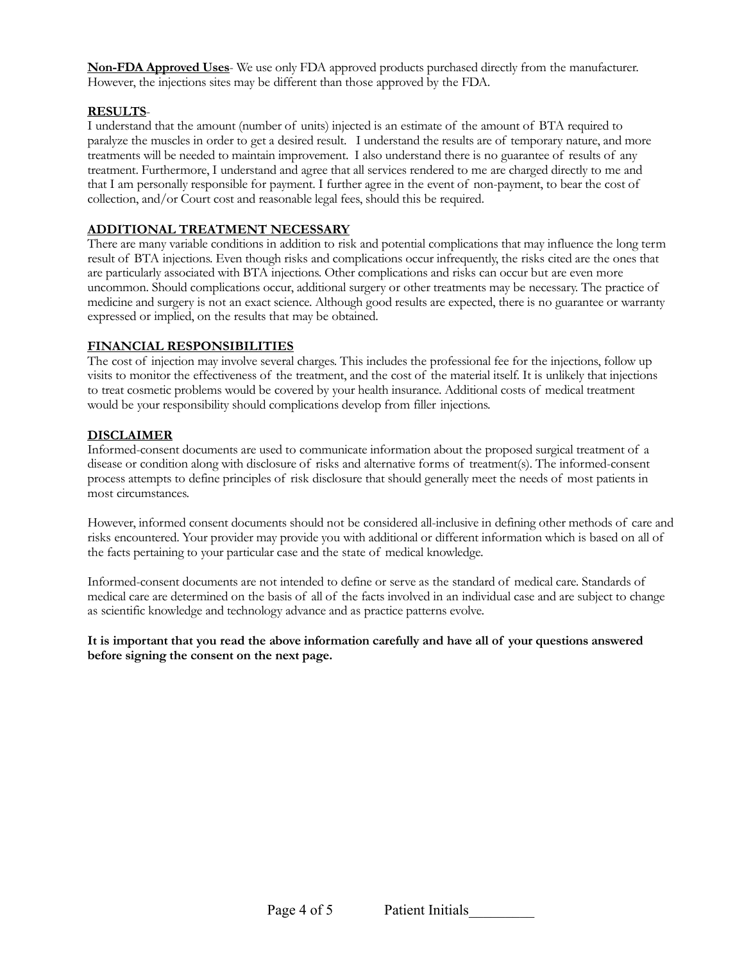**Non-FDA Approved Uses**- We use only FDA approved products purchased directly from the manufacturer. However, the injections sites may be different than those approved by the FDA.

## **RESULTS**-

I understand that the amount (number of units) injected is an estimate of the amount of BTA required to paralyze the muscles in order to get a desired result. I understand the results are of temporary nature, and more treatments will be needed to maintain improvement. I also understand there is no guarantee of results of any treatment. Furthermore, I understand and agree that all services rendered to me are charged directly to me and that I am personally responsible for payment. I further agree in the event of non-payment, to bear the cost of collection, and/or Court cost and reasonable legal fees, should this be required.

## **ADDITIONAL TREATMENT NECESSARY**

There are many variable conditions in addition to risk and potential complications that may influence the long term result of BTA injections. Even though risks and complications occur infrequently, the risks cited are the ones that are particularly associated with BTA injections. Other complications and risks can occur but are even more uncommon. Should complications occur, additional surgery or other treatments may be necessary. The practice of medicine and surgery is not an exact science. Although good results are expected, there is no guarantee or warranty expressed or implied, on the results that may be obtained.

### **FINANCIAL RESPONSIBILITIES**

The cost of injection may involve several charges. This includes the professional fee for the injections, follow up visits to monitor the effectiveness of the treatment, and the cost of the material itself. It is unlikely that injections to treat cosmetic problems would be covered by your health insurance. Additional costs of medical treatment would be your responsibility should complications develop from filler injections.

## **DISCLAIMER**

Informed-consent documents are used to communicate information about the proposed surgical treatment of a disease or condition along with disclosure of risks and alternative forms of treatment(s). The informed-consent process attempts to define principles of risk disclosure that should generally meet the needs of most patients in most circumstances.

However, informed consent documents should not be considered all-inclusive in defining other methods of care and risks encountered. Your provider may provide you with additional or different information which is based on all of the facts pertaining to your particular case and the state of medical knowledge.

Informed-consent documents are not intended to define or serve as the standard of medical care. Standards of medical care are determined on the basis of all of the facts involved in an individual case and are subject to change as scientific knowledge and technology advance and as practice patterns evolve.

**It is important that you read the above information carefully and have all of your questions answered before signing the consent on the next page.**